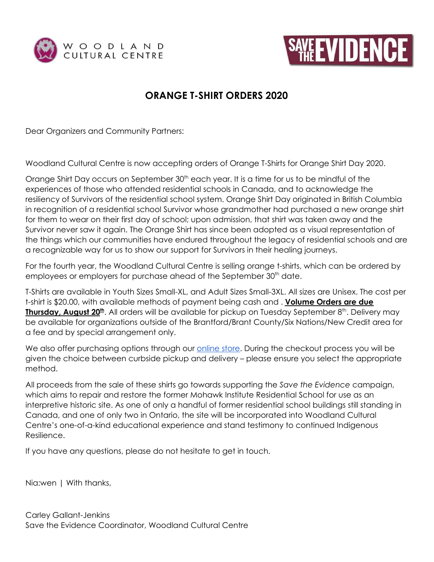



## **ORANGE T-SHIRT ORDERS 2020**

Dear Organizers and Community Partners:

Woodland Cultural Centre is now accepting orders of Orange T-Shirts for Orange Shirt Day 2020.

Orange Shirt Day occurs on September 30<sup>th</sup> each year. It is a time for us to be mindful of the experiences of those who attended residential schools in Canada, and to acknowledge the resiliency of Survivors of the residential school system. Orange Shirt Day originated in British Columbia in recognition of a residential school Survivor whose grandmother had purchased a new orange shirt for them to wear on their first day of school; upon admission, that shirt was taken away and the Survivor never saw it again. The Orange Shirt has since been adopted as a visual representation of the things which our communities have endured throughout the legacy of residential schools and are a recognizable way for us to show our support for Survivors in their healing journeys.

For the fourth year, the Woodland Cultural Centre is selling orange t-shirts, which can be ordered by employees or employers for purchase ahead of the September 30<sup>th</sup> date.

T-Shirts are available in Youth Sizes Small-XL, and Adult Sizes Small-3XL. All sizes are Unisex. The cost per t-shirt is \$20.00, with available methods of payment being cash and . **Volume Orders are due Thursday, August 20<sup>th</sup>.** All orders will be available for pickup on Tuesday September 8<sup>th</sup>. Delivery may be available for organizations outside of the Brantford/Brant County/Six Nations/New Credit area for a fee and by special arrangement only.

We also offer purchasing options through our *[online](https://woodlandculturalcentre.ca/save-the-evidence/shop-online/) store*. During the checkout process you will be given the choice between curbside pickup and delivery – please ensure you select the appropriate method.

All proceeds from the sale of these shirts go towards supporting the *Save the Evidence* campaign, which aims to repair and restore the former Mohawk Institute Residential School for use as an interpretive historic site. As one of only a handful of former residential school buildings still standing in Canada, and one of only two in Ontario, the site will be incorporated into Woodland Cultural Centre's one-of-a-kind educational experience and stand testimony to continued Indigenous Resilience.

If you have any questions, please do not hesitate to get in touch.

Nia:wen | With thanks,

Carley Gallant-Jenkins Save the Evidence Coordinator, Woodland Cultural Centre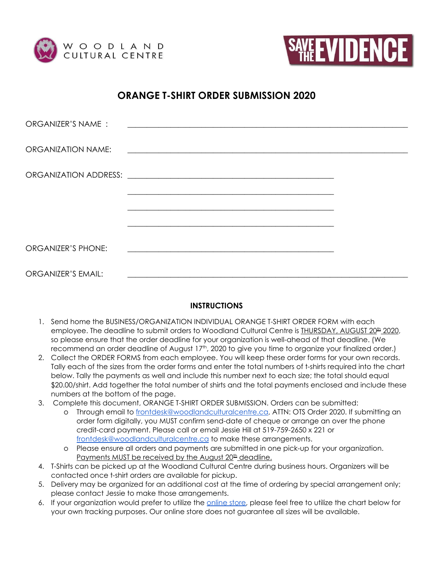



### **ORANGE T-SHIRT ORDER SUBMISSION 2020**

| ORGANIZER'S NAME:         |                                                                                                                        |  |
|---------------------------|------------------------------------------------------------------------------------------------------------------------|--|
| ORGANIZATION NAME:        | <u> 1980 - Andrea Andrews, amerikansk politik (d. 1980)</u>                                                            |  |
|                           |                                                                                                                        |  |
|                           |                                                                                                                        |  |
|                           | <u> 1989 - Johann Stoff, deutscher Stoffen und der Stoffen und der Stoffen und der Stoffen und der Stoffen und der</u> |  |
| ORGANIZER'S PHONE:        | <u> 1989 - Andrea Stadt Britain, fransk politik (d. 1989)</u>                                                          |  |
| <b>ORGANIZER'S EMAIL:</b> |                                                                                                                        |  |

#### **INSTRUCTIONS**

- 1. Send home the BUSINESS/ORGANIZATION INDIVIDUAL ORANGE T-SHIRT ORDER FORM with each employee. The deadline to submit orders to Woodland Cultural Centre is <u>THURSDAY, AUGUST 20<sup>th</sup> 2020</u>, so please ensure that the order deadline for your organization is well-ahead of that deadline. (We recommend an order deadline of August 17<sup>th</sup>, 2020 to give you time to organize your finalized order.)
- 2. Collect the ORDER FORMS from each employee. You will keep these order forms for your own records. Tally each of the sizes from the order forms and enter the total numbers of t-shirts required into the chart below. Tally the payments as well and include this number next to each size; the total should equal \$20.00/shirt. Add together the total number of shirts and the total payments enclosed and include these numbers at the bottom of the page.
- 3. Complete this document, ORANGE T-SHIRT ORDER SUBMISSION. Orders can be submitted:
	- o Through email to [frontdesk@woodlandculturalcentre.ca,](mailto:frontdesk@woodlandculturalcentre.ca) ATTN: OTS Order 2020. If submitting an order form digitally, you MUST confirm send-date of cheque or arrange an over the phone credit-card payment. Please call or email Jessie Hill at 519-759-2650 x 221 or [frontdesk@woodlandculturalcentre.ca](mailto:frontdesk@woodlandculturalcentre.ca) to make these arrangements.
	- o Please ensure all orders and payments are submitted in one pick-up for your organization. <u>Payments MUST be received by the August 20<sup>th</sup> deadline.</u>
- 4. T-Shirts can be picked up at the Woodland Cultural Centre during business hours. Organizers will be contacted once t-shirt orders are available for pickup.
- 5. Delivery may be organized for an additional cost at the time of ordering by special arrangement only; please contact Jessie to make those arrangements.
- 6. If your organization would prefer to utilize the [online](https://woodlandculturalcentre.ca/save-the-evidence/shop-online/) store, please feel free to utilize the chart below for your own tracking purposes. Our online store does not guarantee all sizes will be available.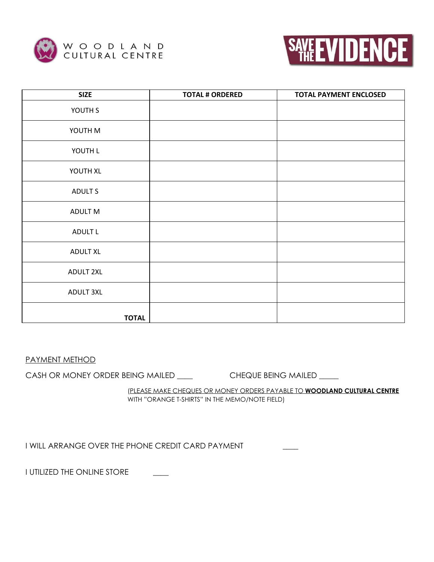



| <b>SIZE</b>      | <b>TOTAL # ORDERED</b> | <b>TOTAL PAYMENT ENCLOSED</b> |
|------------------|------------------------|-------------------------------|
| YOUTH S          |                        |                               |
| YOUTH M          |                        |                               |
| YOUTH L          |                        |                               |
| YOUTH XL         |                        |                               |
| ADULT S          |                        |                               |
| ADULT M          |                        |                               |
| ADULT L          |                        |                               |
| <b>ADULT XL</b>  |                        |                               |
| <b>ADULT 2XL</b> |                        |                               |
| <b>ADULT 3XL</b> |                        |                               |
| <b>TOTAL</b>     |                        |                               |

PAYMENT METHOD

CASH OR MONEY ORDER BEING MAILED \_\_\_\_ CHEQUE BEING MAILED \_\_\_\_

(PLEASE MAKE CHEQUES OR MONEY ORDERS PAYABLE TO **WOODLAND CULTURAL CENTRE** WITH "ORANGE T-SHIRTS" IN THE MEMO/NOTE FIELD)

I WILL ARRANGE OVER THE PHONE CREDIT CARD PAYMENT

I UTILIZED THE ONLINE STORE